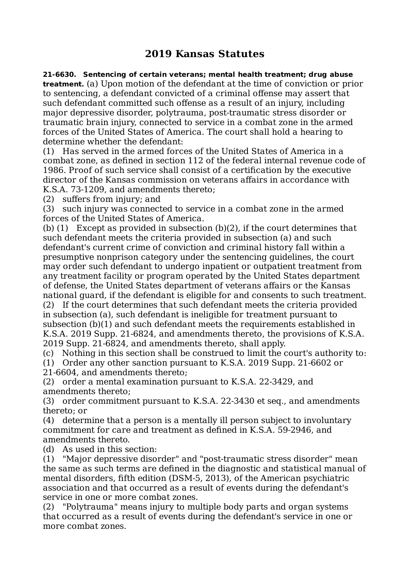## **2019 Kansas Statutes**

**21-6630. Sentencing of certain veterans; mental health treatment; drug abuse treatment.** (a) Upon motion of the defendant at the time of conviction or prior to sentencing, a defendant convicted of a criminal offense may assert that such defendant committed such offense as a result of an injury, including major depressive disorder, polytrauma, post-traumatic stress disorder or traumatic brain injury, connected to service in a combat zone in the armed forces of the United States of America. The court shall hold a hearing to determine whether the defendant:

(1) Has served in the armed forces of the United States of America in a combat zone, as defined in section 112 of the federal internal revenue code of 1986. Proof of such service shall consist of a certification by the executive director of the Kansas commission on veterans affairs in accordance with K.S.A. 73-1209, and amendments thereto;

(2) suffers from injury; and

(3) such injury was connected to service in a combat zone in the armed forces of the United States of America.

(b) (1) Except as provided in subsection (b)(2), if the court determines that such defendant meets the criteria provided in subsection (a) and such defendant's current crime of conviction and criminal history fall within a presumptive nonprison category under the sentencing guidelines, the court may order such defendant to undergo inpatient or outpatient treatment from any treatment facility or program operated by the United States department of defense, the United States department of veterans affairs or the Kansas national guard, if the defendant is eligible for and consents to such treatment. (2) If the court determines that such defendant meets the criteria provided in subsection (a), such defendant is ineligible for treatment pursuant to subsection (b)(1) and such defendant meets the requirements established in K.S.A. 2019 Supp. 21-6824, and amendments thereto, the provisions of K.S.A.

2019 Supp. 21-6824, and amendments thereto, shall apply.

(c) Nothing in this section shall be construed to limit the court's authority to: (1) Order any other sanction pursuant to K.S.A. 2019 Supp. 21-6602 or

21-6604, and amendments thereto;

(2) order a mental examination pursuant to K.S.A. 22-3429, and amendments thereto;

(3) order commitment pursuant to K.S.A. 22-3430 et seq., and amendments thereto; or

(4) determine that a person is a mentally ill person subject to involuntary commitment for care and treatment as defined in K.S.A. 59-2946, and amendments thereto.

(d) As used in this section:

(1) "Major depressive disorder" and "post-traumatic stress disorder" mean the same as such terms are defined in the diagnostic and statistical manual of mental disorders, fifth edition (DSM-5, 2013), of the American psychiatric association and that occurred as a result of events during the defendant's service in one or more combat zones.

(2) "Polytrauma" means injury to multiple body parts and organ systems that occurred as a result of events during the defendant's service in one or more combat zones.